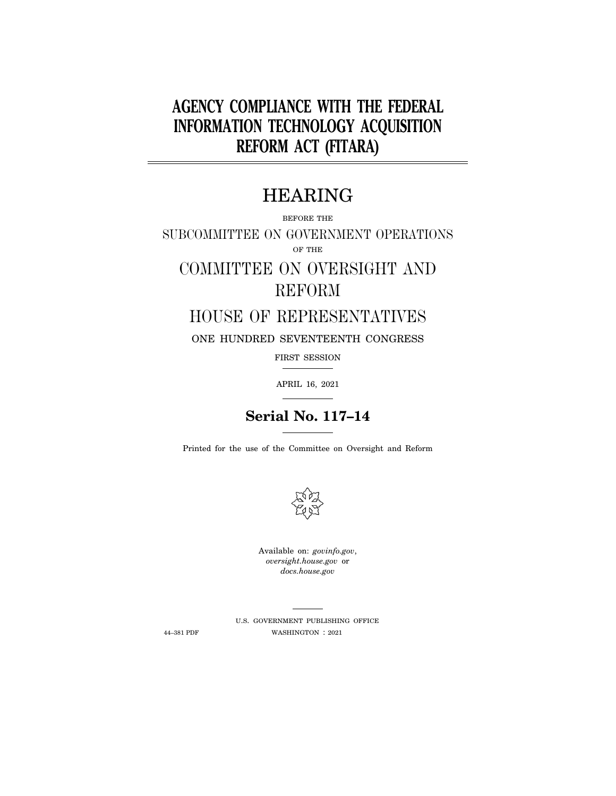# **AGENCY COMPLIANCE WITH THE FEDERAL INFORMATION TECHNOLOGY ACQUISITION REFORM ACT (FITARA)**

# HEARING

BEFORE THE

SUBCOMMITTEE ON GOVERNMENT OPERATIONS OF THE

# COMMITTEE ON OVERSIGHT AND REFORM

## HOUSE OF REPRESENTATIVES

ONE HUNDRED SEVENTEENTH CONGRESS

FIRST SESSION

APRIL 16, 2021

# **Serial No. 117–14**

Printed for the use of the Committee on Oversight and Reform



Available on: *govinfo.gov*, *oversight.house.gov* or *docs.house.gov* 

U.S. GOVERNMENT PUBLISHING OFFICE 44–381 PDF WASHINGTON : 2021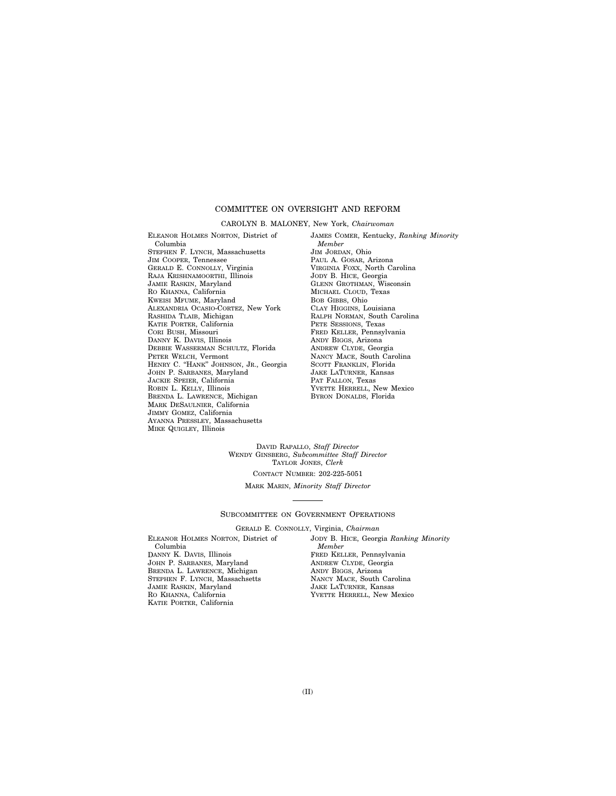## COMMITTEE ON OVERSIGHT AND REFORM

#### CAROLYN B. MALONEY, New York, *Chairwoman*

ELEANOR HOLMES NORTON, District of Columbia STEPHEN F. LYNCH, Massachusetts JIM COOPER, Tennessee GERALD E. CONNOLLY, Virginia RAJA KRISHNAMOORTHI, Illinois JAMIE RASKIN, Maryland RO KHANNA, California KWEISI MFUME, Maryland ALEXANDRIA OCASIO-CORTEZ, New York RASHIDA TLAIB, Michigan KATIE PORTER, California CORI BUSH, Missouri DANNY K. DAVIS, Illinois DEBBIE WASSERMAN SCHULTZ, Florida PETER WELCH, Vermont HENRY C. "HANK" JOHNSON, JR., Georgia JOHN P. SARBANES, Maryland JACKIE SPEIER, California ROBIN L. KELLY, Illinois BRENDA L. LAWRENCE, Michigan MARK DESAULNIER, California JIMMY GOMEZ, California AYANNA PRESSLEY, Massachusetts MIKE QUIGLEY, Illinois

JAMES COMER, Kentucky, *Ranking Minority Member*  JIM JORDAN, Ohio PAUL A. GOSAR, Arizona VIRGINIA FOXX, North Carolina JODY B. HICE, Georgia GLENN GROTHMAN, Wisconsin MICHAEL CLOUD, Texas BOB GIBBS, Ohio CLAY HIGGINS, Louisiana RALPH NORMAN, South Carolina PETE SESSIONS, Texas FRED KELLER, Pennsylvania ANDY BIGGS, Arizona ANDREW CLYDE, Georgia NANCY MACE, South Carolina SCOTT FRANKLIN, Florida JAKE LATURNER, Kansas PAT FALLON, Texas YVETTE HERRELL, New Mexico BYRON DONALDS, Florida

DAVID RAPALLO, *Staff Director*  WENDY GINSBERG, *Subcommittee Staff Director*  TAYLOR JONES, *Clerk* 

CONTACT NUMBER: 202-225-5051

MARK MARIN, *Minority Staff Director* 

#### SUBCOMMITTEE ON GOVERNMENT OPERATIONS

GERALD E. CONNOLLY, Virginia, *Chairman* 

ELEANOR HOLMES NORTON, District of Columbia DANNY K. DAVIS, Illinois JOHN P. SARBANES, Maryland BRENDA L. LAWRENCE, Michigan STEPHEN F. LYNCH, Massachsetts JAMIE RASKIN, Maryland RO KHANNA, California KATIE PORTER, California

JODY B. HICE, Georgia *Ranking Minority Member*  FRED KELLER, Pennsylvania ANDREW CLYDE, Georgia ANDY BIGGS, Arizona NANCY MACE, South Carolina JAKE LATURNER, Kansas YVETTE HERRELL, New Mexico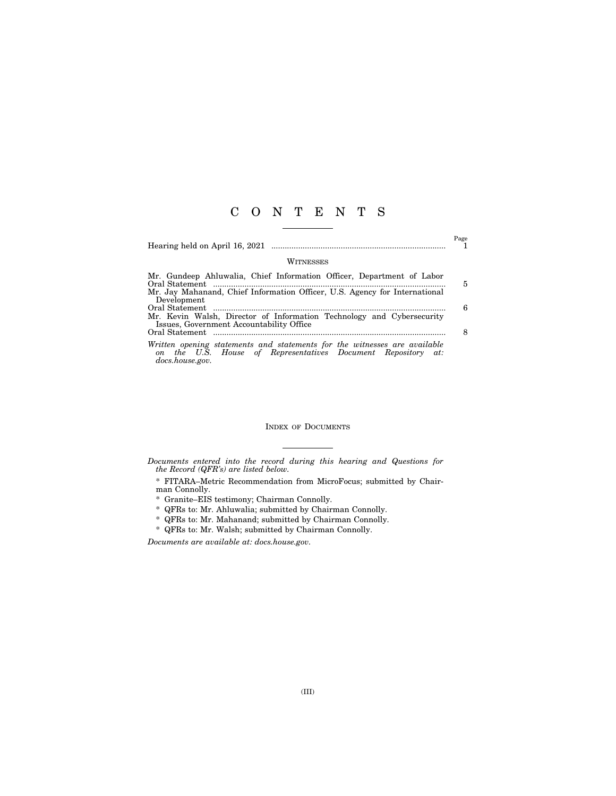## C O N T E N T S

Hearing held on April 16, 2021 .............................................................................. 1

 $\overset{\text{Page}}{1}$ 

#### WITNESSES

| Mr. Gundeep Ahluwalia, Chief Information Officer, Department of Labor                                                                     |   |
|-------------------------------------------------------------------------------------------------------------------------------------------|---|
|                                                                                                                                           | 5 |
| Mr. Jay Mahanand, Chief Information Officer, U.S. Agency for International                                                                |   |
| Development                                                                                                                               |   |
|                                                                                                                                           | 6 |
| Mr. Kevin Walsh, Director of Information Technology and Cybersecurity                                                                     |   |
| Issues, Government Accountability Office                                                                                                  |   |
|                                                                                                                                           |   |
| Written opening statements and statements for the witnesses are available<br>on the U.S. House of Representatives Document Repository at: |   |
| docs.house.gov.                                                                                                                           |   |

### INDEX OF DOCUMENTS

*Documents entered into the record during this hearing and Questions for the Record (QFR's) are listed below.* 

\* FITARA–Metric Recommendation from MicroFocus; submitted by Chairman Connolly.

\* Granite–EIS testimony; Chairman Connolly.

\* QFRs to: Mr. Ahluwalia; submitted by Chairman Connolly.

\* QFRs to: Mr. Mahanand; submitted by Chairman Connolly.

\* QFRs to: Mr. Walsh; submitted by Chairman Connolly.

*Documents are available at: docs.house.gov.*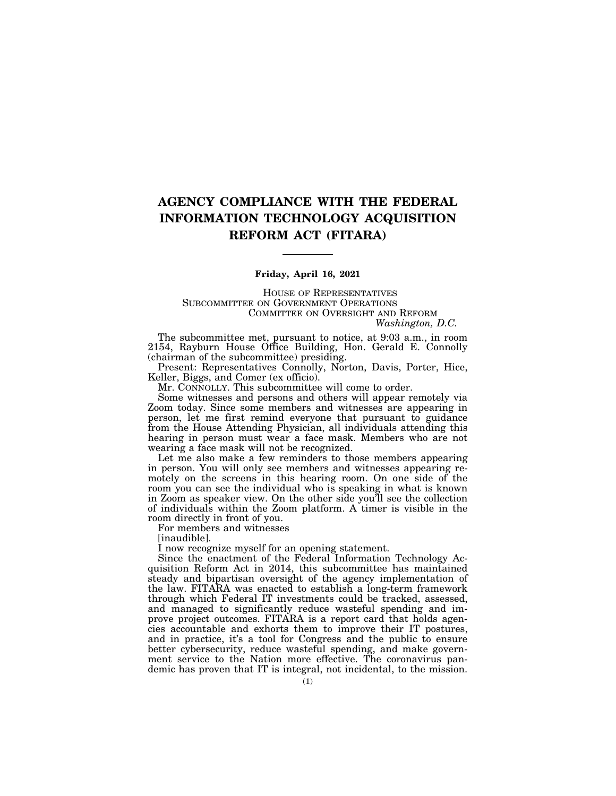## **AGENCY COMPLIANCE WITH THE FEDERAL INFORMATION TECHNOLOGY ACQUISITION REFORM ACT (FITARA)**

### **Friday, April 16, 2021**

HOUSE OF REPRESENTATIVES SUBCOMMITTEE ON GOVERNMENT OPERATIONS COMMITTEE ON OVERSIGHT AND REFORM *Washington, D.C.* 

The subcommittee met, pursuant to notice, at 9:03 a.m., in room 2154, Rayburn House Office Building, Hon. Gerald E. Connolly (chairman of the subcommittee) presiding.

Present: Representatives Connolly, Norton, Davis, Porter, Hice, Keller, Biggs, and Comer (ex officio).

Mr. CONNOLLY. This subcommittee will come to order.

Some witnesses and persons and others will appear remotely via Zoom today. Since some members and witnesses are appearing in person, let me first remind everyone that pursuant to guidance from the House Attending Physician, all individuals attending this hearing in person must wear a face mask. Members who are not wearing a face mask will not be recognized.

Let me also make a few reminders to those members appearing in person. You will only see members and witnesses appearing remotely on the screens in this hearing room. On one side of the room you can see the individual who is speaking in what is known in Zoom as speaker view. On the other side you'll see the collection of individuals within the Zoom platform. A timer is visible in the room directly in front of you.

For members and witnesses

[inaudible].

I now recognize myself for an opening statement.

Since the enactment of the Federal Information Technology Acquisition Reform Act in 2014, this subcommittee has maintained steady and bipartisan oversight of the agency implementation of the law. FITARA was enacted to establish a long-term framework through which Federal IT investments could be tracked, assessed, and managed to significantly reduce wasteful spending and improve project outcomes. FITARA is a report card that holds agencies accountable and exhorts them to improve their IT postures, and in practice, it's a tool for Congress and the public to ensure better cybersecurity, reduce wasteful spending, and make government service to the Nation more effective. The coronavirus pandemic has proven that IT is integral, not incidental, to the mission.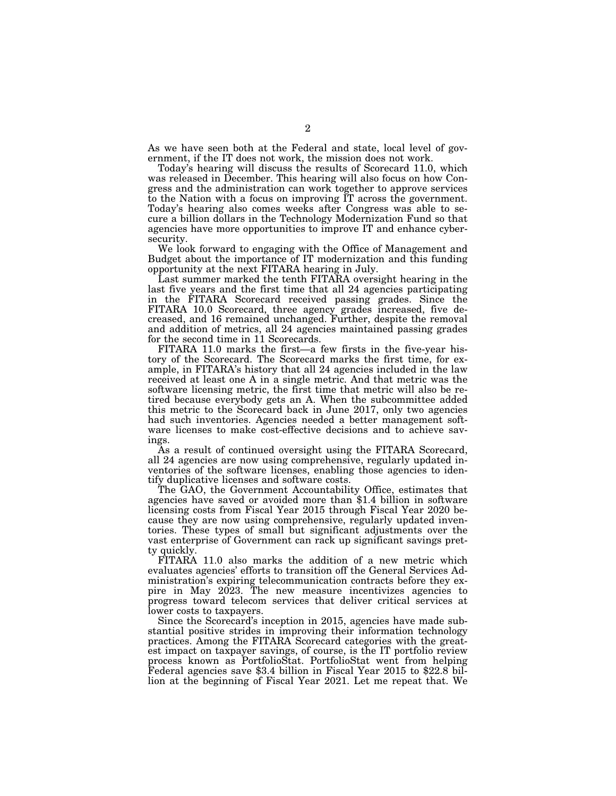As we have seen both at the Federal and state, local level of government, if the IT does not work, the mission does not work.

Today's hearing will discuss the results of Scorecard 11.0, which was released in December. This hearing will also focus on how Congress and the administration can work together to approve services to the Nation with a focus on improving IT across the government. Today's hearing also comes weeks after Congress was able to secure a billion dollars in the Technology Modernization Fund so that agencies have more opportunities to improve IT and enhance cybersecurity.

We look forward to engaging with the Office of Management and Budget about the importance of IT modernization and this funding opportunity at the next FITARA hearing in July.

Last summer marked the tenth FITARA oversight hearing in the last five years and the first time that all 24 agencies participating in the FITARA Scorecard received passing grades. Since the FITARA 10.0 Scorecard, three agency grades increased, five decreased, and 16 remained unchanged. Further, despite the removal and addition of metrics, all 24 agencies maintained passing grades for the second time in 11 Scorecards.

FITARA 11.0 marks the first—a few firsts in the five-year history of the Scorecard. The Scorecard marks the first time, for example, in FITARA's history that all 24 agencies included in the law received at least one A in a single metric. And that metric was the software licensing metric, the first time that metric will also be retired because everybody gets an A. When the subcommittee added this metric to the Scorecard back in June 2017, only two agencies had such inventories. Agencies needed a better management software licenses to make cost-effective decisions and to achieve savings.

As a result of continued oversight using the FITARA Scorecard, all 24 agencies are now using comprehensive, regularly updated inventories of the software licenses, enabling those agencies to identify duplicative licenses and software costs.

The GAO, the Government Accountability Office, estimates that agencies have saved or avoided more than \$1.4 billion in software licensing costs from Fiscal Year 2015 through Fiscal Year 2020 because they are now using comprehensive, regularly updated inventories. These types of small but significant adjustments over the vast enterprise of Government can rack up significant savings pretty quickly.

FITARA 11.0 also marks the addition of a new metric which evaluates agencies' efforts to transition off the General Services Administration's expiring telecommunication contracts before they expire in May 2023. The new measure incentivizes agencies to progress toward telecom services that deliver critical services at lower costs to taxpayers.

Since the Scorecard's inception in 2015, agencies have made substantial positive strides in improving their information technology practices. Among the FITARA Scorecard categories with the greatest impact on taxpayer savings, of course, is the IT portfolio review process known as PortfolioStat. PortfolioStat went from helping Federal agencies save \$3.4 billion in Fiscal Year 2015 to \$22.8 billion at the beginning of Fiscal Year 2021. Let me repeat that. We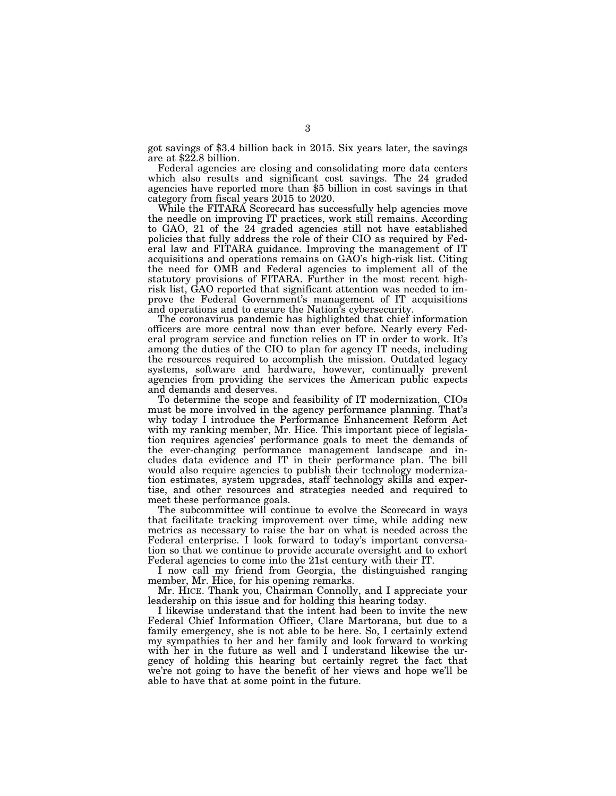got savings of \$3.4 billion back in 2015. Six years later, the savings are at \$22.8 billion.

Federal agencies are closing and consolidating more data centers which also results and significant cost savings. The 24 graded agencies have reported more than \$5 billion in cost savings in that category from fiscal years 2015 to 2020.

While the FITARA Scorecard has successfully help agencies move the needle on improving IT practices, work still remains. According to GAO, 21 of the 24 graded agencies still not have established policies that fully address the role of their CIO as required by Federal law and FITARA guidance. Improving the management of IT acquisitions and operations remains on GAO's high-risk list. Citing the need for OMB and Federal agencies to implement all of the statutory provisions of FITARA. Further in the most recent highrisk list, GAO reported that significant attention was needed to improve the Federal Government's management of IT acquisitions and operations and to ensure the Nation's cybersecurity.

The coronavirus pandemic has highlighted that chief information officers are more central now than ever before. Nearly every Federal program service and function relies on IT in order to work. It's among the duties of the CIO to plan for agency IT needs, including the resources required to accomplish the mission. Outdated legacy systems, software and hardware, however, continually prevent agencies from providing the services the American public expects and demands and deserves.

To determine the scope and feasibility of IT modernization, CIOs must be more involved in the agency performance planning. That's why today I introduce the Performance Enhancement Reform Act with my ranking member, Mr. Hice. This important piece of legislation requires agencies' performance goals to meet the demands of the ever-changing performance management landscape and includes data evidence and IT in their performance plan. The bill would also require agencies to publish their technology modernization estimates, system upgrades, staff technology skills and expertise, and other resources and strategies needed and required to meet these performance goals.

The subcommittee will continue to evolve the Scorecard in ways that facilitate tracking improvement over time, while adding new metrics as necessary to raise the bar on what is needed across the Federal enterprise. I look forward to today's important conversation so that we continue to provide accurate oversight and to exhort Federal agencies to come into the 21st century with their IT.

I now call my friend from Georgia, the distinguished ranging member, Mr. Hice, for his opening remarks.

Mr. HICE. Thank you, Chairman Connolly, and I appreciate your leadership on this issue and for holding this hearing today.

I likewise understand that the intent had been to invite the new Federal Chief Information Officer, Clare Martorana, but due to a family emergency, she is not able to be here. So, I certainly extend my sympathies to her and her family and look forward to working with her in the future as well and I understand likewise the urgency of holding this hearing but certainly regret the fact that we're not going to have the benefit of her views and hope we'll be able to have that at some point in the future.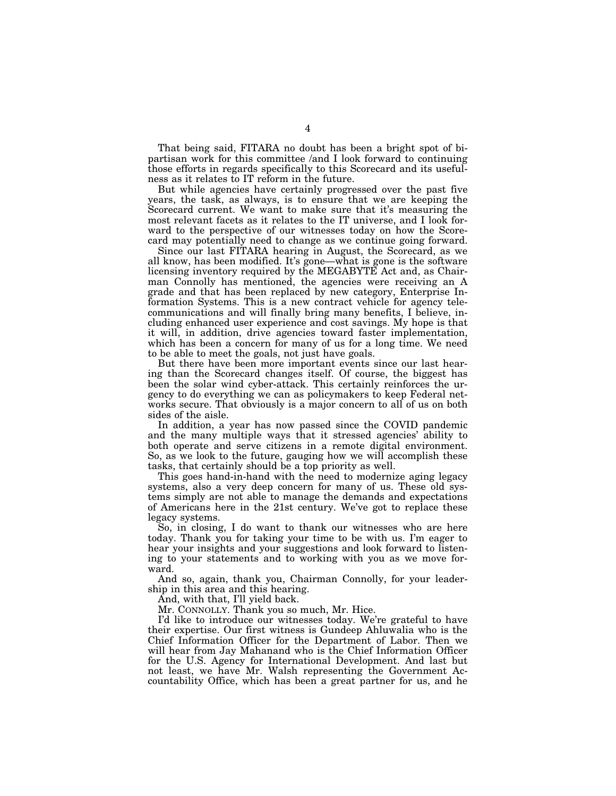That being said, FITARA no doubt has been a bright spot of bipartisan work for this committee /and I look forward to continuing those efforts in regards specifically to this Scorecard and its usefulness as it relates to IT reform in the future.

But while agencies have certainly progressed over the past five years, the task, as always, is to ensure that we are keeping the Scorecard current. We want to make sure that it's measuring the most relevant facets as it relates to the IT universe, and I look forward to the perspective of our witnesses today on how the Scorecard may potentially need to change as we continue going forward.

Since our last FITARA hearing in August, the Scorecard, as we all know, has been modified. It's gone—what is gone is the software licensing inventory required by the MEGABYTE Act and, as Chairman Connolly has mentioned, the agencies were receiving an A grade and that has been replaced by new category, Enterprise Information Systems. This is a new contract vehicle for agency telecommunications and will finally bring many benefits, I believe, including enhanced user experience and cost savings. My hope is that it will, in addition, drive agencies toward faster implementation, which has been a concern for many of us for a long time. We need to be able to meet the goals, not just have goals.

But there have been more important events since our last hearing than the Scorecard changes itself. Of course, the biggest has been the solar wind cyber-attack. This certainly reinforces the urgency to do everything we can as policymakers to keep Federal networks secure. That obviously is a major concern to all of us on both sides of the aisle.

In addition, a year has now passed since the COVID pandemic and the many multiple ways that it stressed agencies' ability to both operate and serve citizens in a remote digital environment. So, as we look to the future, gauging how we will accomplish these tasks, that certainly should be a top priority as well.

This goes hand-in-hand with the need to modernize aging legacy systems, also a very deep concern for many of us. These old systems simply are not able to manage the demands and expectations of Americans here in the 21st century. We've got to replace these legacy systems.

So, in closing, I do want to thank our witnesses who are here today. Thank you for taking your time to be with us. I'm eager to hear your insights and your suggestions and look forward to listening to your statements and to working with you as we move forward.

And so, again, thank you, Chairman Connolly, for your leadership in this area and this hearing.

And, with that, I'll yield back.

Mr. CONNOLLY. Thank you so much, Mr. Hice.

I'd like to introduce our witnesses today. We're grateful to have their expertise. Our first witness is Gundeep Ahluwalia who is the Chief Information Officer for the Department of Labor. Then we will hear from Jay Mahanand who is the Chief Information Officer for the U.S. Agency for International Development. And last but not least, we have Mr. Walsh representing the Government Accountability Office, which has been a great partner for us, and he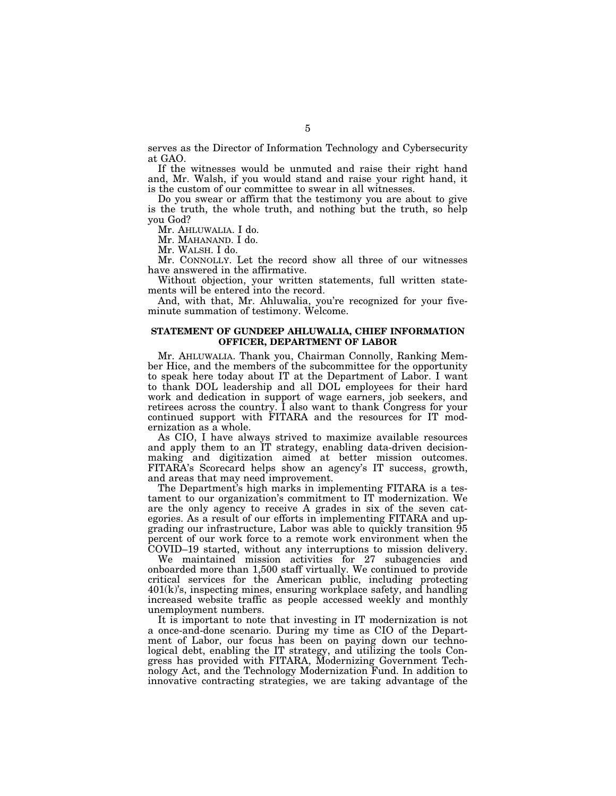serves as the Director of Information Technology and Cybersecurity at GAO.

If the witnesses would be unmuted and raise their right hand and, Mr. Walsh, if you would stand and raise your right hand, it is the custom of our committee to swear in all witnesses.

Do you swear or affirm that the testimony you are about to give is the truth, the whole truth, and nothing but the truth, so help you God?

Mr. AHLUWALIA. I do.

Mr. MAHANAND. I do.

Mr. WALSH. I do.

Mr. CONNOLLY. Let the record show all three of our witnesses have answered in the affirmative.

Without objection, your written statements, full written statements will be entered into the record.

And, with that, Mr. Ahluwalia, you're recognized for your fiveminute summation of testimony. Welcome.

### **STATEMENT OF GUNDEEP AHLUWALIA, CHIEF INFORMATION OFFICER, DEPARTMENT OF LABOR**

Mr. AHLUWALIA. Thank you, Chairman Connolly, Ranking Member Hice, and the members of the subcommittee for the opportunity to speak here today about IT at the Department of Labor. I want to thank DOL leadership and all DOL employees for their hard work and dedication in support of wage earners, job seekers, and retirees across the country. I also want to thank Congress for your continued support with FITARA and the resources for IT modernization as a whole.

As CIO, I have always strived to maximize available resources and apply them to an IT strategy, enabling data-driven decisionmaking and digitization aimed at better mission outcomes. FITARA's Scorecard helps show an agency's IT success, growth, and areas that may need improvement.

The Department's high marks in implementing FITARA is a testament to our organization's commitment to IT modernization. We are the only agency to receive A grades in six of the seven categories. As a result of our efforts in implementing FITARA and upgrading our infrastructure, Labor was able to quickly transition 95 percent of our work force to a remote work environment when the COVID–19 started, without any interruptions to mission delivery.

We maintained mission activities for 27 subagencies and onboarded more than 1,500 staff virtually. We continued to provide critical services for the American public, including protecting 401(k)'s, inspecting mines, ensuring workplace safety, and handling increased website traffic as people accessed weekly and monthly unemployment numbers.

It is important to note that investing in IT modernization is not a once-and-done scenario. During my time as CIO of the Department of Labor, our focus has been on paying down our technological debt, enabling the IT strategy, and utilizing the tools Congress has provided with FITARA, Modernizing Government Technology Act, and the Technology Modernization Fund. In addition to innovative contracting strategies, we are taking advantage of the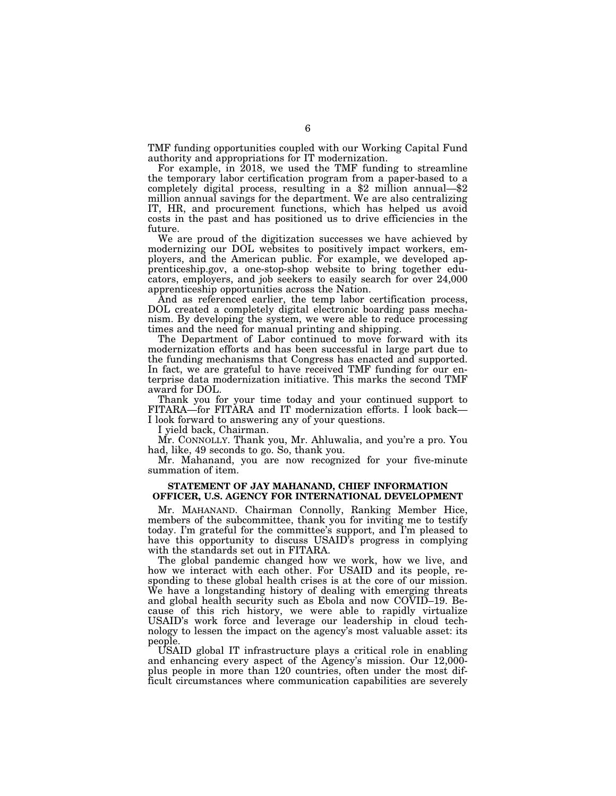TMF funding opportunities coupled with our Working Capital Fund authority and appropriations for IT modernization.

For example, in 2018, we used the TMF funding to streamline the temporary labor certification program from a paper-based to a completely digital process, resulting in a \$2 million annual—\$2 million annual savings for the department. We are also centralizing IT, HR, and procurement functions, which has helped us avoid costs in the past and has positioned us to drive efficiencies in the future.

We are proud of the digitization successes we have achieved by modernizing our DOL websites to positively impact workers, employers, and the American public. For example, we developed apprenticeship.gov, a one-stop-shop website to bring together educators, employers, and job seekers to easily search for over 24,000 apprenticeship opportunities across the Nation.

And as referenced earlier, the temp labor certification process, DOL created a completely digital electronic boarding pass mechanism. By developing the system, we were able to reduce processing times and the need for manual printing and shipping.

The Department of Labor continued to move forward with its modernization efforts and has been successful in large part due to the funding mechanisms that Congress has enacted and supported. In fact, we are grateful to have received TMF funding for our enterprise data modernization initiative. This marks the second TMF award for DOL.

Thank you for your time today and your continued support to FITARA—for FITARA and IT modernization efforts. I look back— I look forward to answering any of your questions.

I yield back, Chairman.

Mr. CONNOLLY. Thank you, Mr. Ahluwalia, and you're a pro. You had, like, 49 seconds to go. So, thank you.

Mr. Mahanand, you are now recognized for your five-minute summation of item.

### **STATEMENT OF JAY MAHANAND, CHIEF INFORMATION OFFICER, U.S. AGENCY FOR INTERNATIONAL DEVELOPMENT**

Mr. MAHANAND. Chairman Connolly, Ranking Member Hice, members of the subcommittee, thank you for inviting me to testify today. I'm grateful for the committee's support, and I'm pleased to have this opportunity to discuss USAID's progress in complying with the standards set out in FITARA.

The global pandemic changed how we work, how we live, and how we interact with each other. For USAID and its people, responding to these global health crises is at the core of our mission. We have a longstanding history of dealing with emerging threats and global health security such as Ebola and now COVID-19. Because of this rich history, we were able to rapidly virtualize USAID's work force and leverage our leadership in cloud technology to lessen the impact on the agency's most valuable asset: its people.

USAID global IT infrastructure plays a critical role in enabling and enhancing every aspect of the Agency's mission. Our 12,000 plus people in more than 120 countries, often under the most difficult circumstances where communication capabilities are severely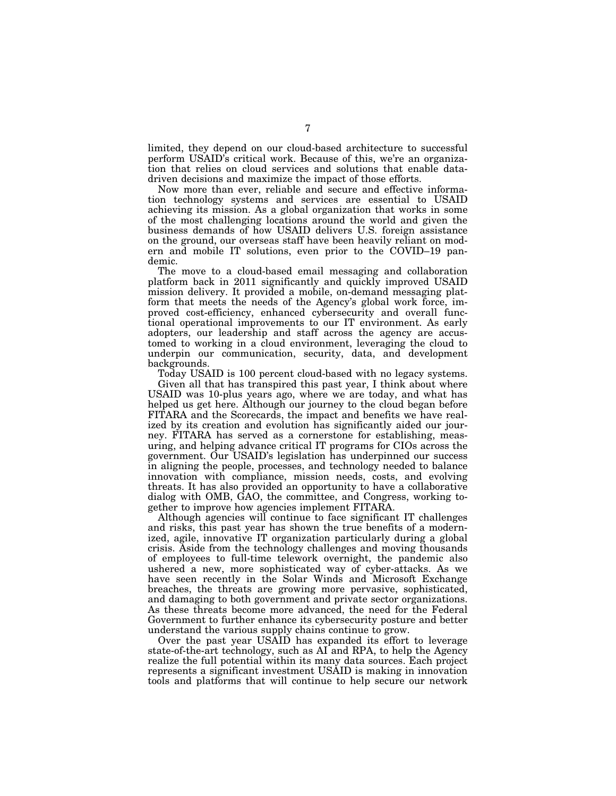limited, they depend on our cloud-based architecture to successful perform USAID's critical work. Because of this, we're an organization that relies on cloud services and solutions that enable datadriven decisions and maximize the impact of those efforts.

Now more than ever, reliable and secure and effective information technology systems and services are essential to USAID achieving its mission. As a global organization that works in some of the most challenging locations around the world and given the business demands of how USAID delivers U.S. foreign assistance on the ground, our overseas staff have been heavily reliant on modern and mobile IT solutions, even prior to the COVID–19 pandemic.

The move to a cloud-based email messaging and collaboration platform back in 2011 significantly and quickly improved USAID mission delivery. It provided a mobile, on-demand messaging platform that meets the needs of the Agency's global work force, improved cost-efficiency, enhanced cybersecurity and overall functional operational improvements to our IT environment. As early adopters, our leadership and staff across the agency are accustomed to working in a cloud environment, leveraging the cloud to underpin our communication, security, data, and development backgrounds.

Today USAID is 100 percent cloud-based with no legacy systems.

Given all that has transpired this past year, I think about where USAID was 10-plus years ago, where we are today, and what has helped us get here. Although our journey to the cloud began before FITARA and the Scorecards, the impact and benefits we have realized by its creation and evolution has significantly aided our journey. FITARA has served as a cornerstone for establishing, measuring, and helping advance critical IT programs for CIOs across the government. Our USAID's legislation has underpinned our success in aligning the people, processes, and technology needed to balance innovation with compliance, mission needs, costs, and evolving threats. It has also provided an opportunity to have a collaborative dialog with OMB, GAO, the committee, and Congress, working together to improve how agencies implement FITARA.

Although agencies will continue to face significant IT challenges and risks, this past year has shown the true benefits of a modernized, agile, innovative IT organization particularly during a global crisis. Aside from the technology challenges and moving thousands of employees to full-time telework overnight, the pandemic also ushered a new, more sophisticated way of cyber-attacks. As we have seen recently in the Solar Winds and Microsoft Exchange breaches, the threats are growing more pervasive, sophisticated, and damaging to both government and private sector organizations. As these threats become more advanced, the need for the Federal Government to further enhance its cybersecurity posture and better understand the various supply chains continue to grow.

Over the past year USAID has expanded its effort to leverage state-of-the-art technology, such as AI and RPA, to help the Agency realize the full potential within its many data sources. Each project represents a significant investment USAID is making in innovation tools and platforms that will continue to help secure our network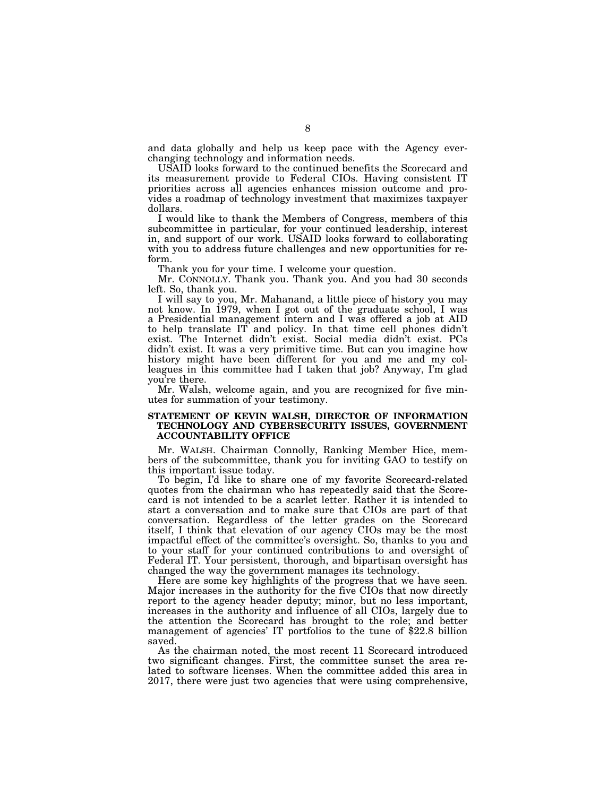and data globally and help us keep pace with the Agency everchanging technology and information needs.

USAID looks forward to the continued benefits the Scorecard and its measurement provide to Federal CIOs. Having consistent IT priorities across all agencies enhances mission outcome and provides a roadmap of technology investment that maximizes taxpayer dollars.

I would like to thank the Members of Congress, members of this subcommittee in particular, for your continued leadership, interest in, and support of our work. USAID looks forward to collaborating with you to address future challenges and new opportunities for reform.

Thank you for your time. I welcome your question.

Mr. CONNOLLY. Thank you. Thank you. And you had 30 seconds left. So, thank you.

I will say to you, Mr. Mahanand, a little piece of history you may not know. In 1979, when I got out of the graduate school, I was a Presidential management intern and I was offered a job at AID to help translate IT and policy. In that time cell phones didn't exist. The Internet didn't exist. Social media didn't exist. PCs didn't exist. It was a very primitive time. But can you imagine how history might have been different for you and me and my colleagues in this committee had I taken that job? Anyway, I'm glad you're there.

Mr. Walsh, welcome again, and you are recognized for five minutes for summation of your testimony.

### **STATEMENT OF KEVIN WALSH, DIRECTOR OF INFORMATION TECHNOLOGY AND CYBERSECURITY ISSUES, GOVERNMENT ACCOUNTABILITY OFFICE**

Mr. WALSH. Chairman Connolly, Ranking Member Hice, members of the subcommittee, thank you for inviting GAO to testify on this important issue today.

To begin, I'd like to share one of my favorite Scorecard-related quotes from the chairman who has repeatedly said that the Scorecard is not intended to be a scarlet letter. Rather it is intended to start a conversation and to make sure that CIOs are part of that conversation. Regardless of the letter grades on the Scorecard itself, I think that elevation of our agency CIOs may be the most impactful effect of the committee's oversight. So, thanks to you and to your staff for your continued contributions to and oversight of Federal IT. Your persistent, thorough, and bipartisan oversight has changed the way the government manages its technology.

Here are some key highlights of the progress that we have seen. Major increases in the authority for the five CIOs that now directly report to the agency header deputy; minor, but no less important, increases in the authority and influence of all CIOs, largely due to the attention the Scorecard has brought to the role; and better management of agencies' IT portfolios to the tune of \$22.8 billion saved.

As the chairman noted, the most recent 11 Scorecard introduced two significant changes. First, the committee sunset the area related to software licenses. When the committee added this area in 2017, there were just two agencies that were using comprehensive,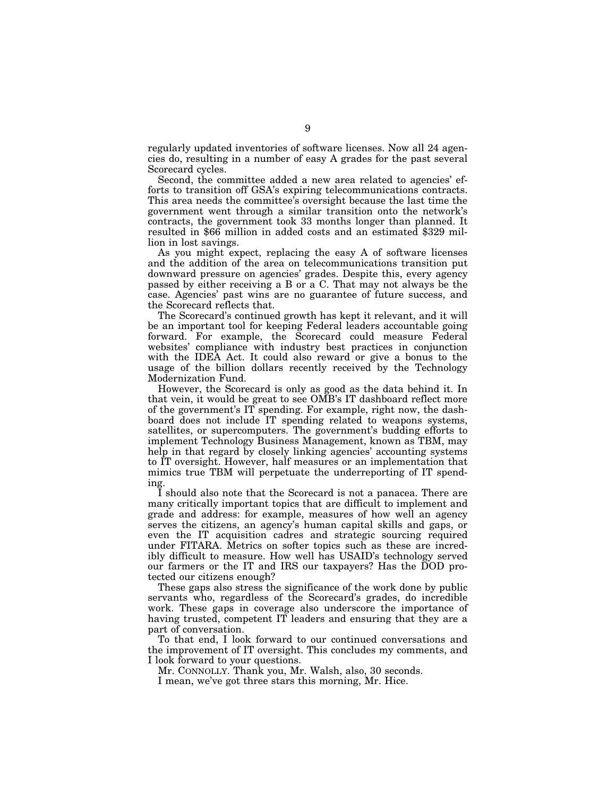regularly updated inventories of software licenses. Now all 24 agencies do, resulting in a number of easy A grades for the past several Scorecard cycles.

Second, the committee added a new area related to agencies' efforts to transition off GSA's expiring telecommunications contracts. This area needs the committee's oversight because the last time the government went through a similar transition onto the network's contracts, the government took 33 months longer than planned. It resulted in \$66 million in added costs and an estimated \$329 million in lost savings.

As you might expect, replacing the easy A of software licenses and the addition of the area on telecommunications transition put downward pressure on agencies' grades. Despite this, every agency passed by either receiving a B or a C. That may not always be the case. Agencies' past wins are no guarantee of future success, and the Scorecard reflects that.

The Scorecard's continued growth has kept it relevant, and it will be an important tool for keeping Federal leaders accountable going forward. For example, the Scorecard could measure Federal websites' compliance with industry best practices in conjunction with the IDEA Act. It could also reward or give a bonus to the usage of the billion dollars recently received by the Technology Modernization Fund.

However, the Scorecard is only as good as the data behind it. In that vein, it would be great to see OMB's IT dashboard reflect more of the government's IT spending. For example, right now, the dashboard does not include IT spending related to weapons systems, satellites, or supercomputers. The government's budding efforts to implement Technology Business Management, known as TBM, may help in that regard by closely linking agencies' accounting systems to IT oversight. However, half measures or an implementation that mimics true TBM will perpetuate the underreporting of IT spending.

I should also note that the Scorecard is not a panacea. There are many critically important topics that are difficult to implement and grade and address: for example, measures of how well an agency serves the citizens, an agency's human capital skills and gaps, or even the IT acquisition cadres and strategic sourcing required under FITARA. Metrics on softer topics such as these are incredibly difficult to measure. How well has USAID's technology served our farmers or the IT and IRS our taxpayers? Has the DOD protected our citizens enough?

These gaps also stress the significance of the work done by public servants who, regardless of the Scorecard's grades, do incredible work. These gaps in coverage also underscore the importance of having trusted, competent IT leaders and ensuring that they are a part of conversation.

To that end, I look forward to our continued conversations and the improvement of IT oversight. This concludes my comments, and I look forward to your questions.

Mr. CONNOLLY. Thank you, Mr. Walsh, also, 30 seconds.

I mean, we've got three stars this morning, Mr. Hice.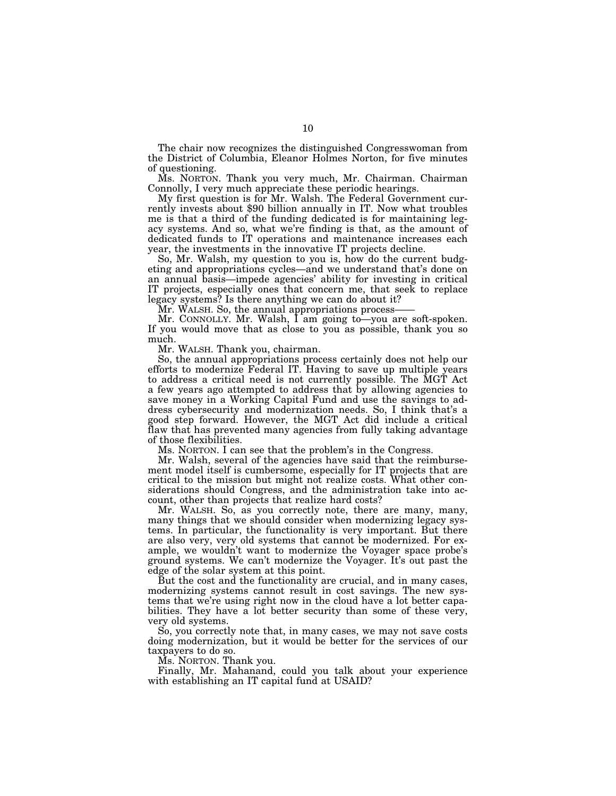The chair now recognizes the distinguished Congresswoman from the District of Columbia, Eleanor Holmes Norton, for five minutes of questioning.

Ms. NORTON. Thank you very much, Mr. Chairman. Chairman Connolly, I very much appreciate these periodic hearings.<br>My first question is for Mr. Walsh. The Federal Government cur-

rently invests about \$90 billion annually in IT. Now what troubles me is that a third of the funding dedicated is for maintaining legacy systems. And so, what we're finding is that, as the amount of dedicated funds to IT operations and maintenance increases each year, the investments in the innovative IT projects decline.

So, Mr. Walsh, my question to you is, how do the current budgeting and appropriations cycles—and we understand that's done on an annual basis—impede agencies' ability for investing in critical IT projects, especially ones that concern me, that seek to replace legacy systems? Is there anything we can do about it?

Mr. WALSH. So, the annual appropriations process-

Mr. CONNOLLY. Mr. Walsh, I am going to—you are soft-spoken. If you would move that as close to you as possible, thank you so much.

Mr. WALSH. Thank you, chairman.

So, the annual appropriations process certainly does not help our efforts to modernize Federal IT. Having to save up multiple years to address a critical need is not currently possible. The MGT Act a few years ago attempted to address that by allowing agencies to save money in a Working Capital Fund and use the savings to address cybersecurity and modernization needs. So, I think that's a good step forward. However, the MGT Act did include a critical flaw that has prevented many agencies from fully taking advantage of those flexibilities.

Ms. NORTON. I can see that the problem's in the Congress.

Mr. Walsh, several of the agencies have said that the reimbursement model itself is cumbersome, especially for IT projects that are critical to the mission but might not realize costs. What other considerations should Congress, and the administration take into account, other than projects that realize hard costs?

Mr. WALSH. So, as you correctly note, there are many, many, many things that we should consider when modernizing legacy systems. In particular, the functionality is very important. But there are also very, very old systems that cannot be modernized. For example, we wouldn't want to modernize the Voyager space probe's ground systems. We can't modernize the Voyager. It's out past the edge of the solar system at this point.

But the cost and the functionality are crucial, and in many cases, modernizing systems cannot result in cost savings. The new systems that we're using right now in the cloud have a lot better capabilities. They have a lot better security than some of these very, very old systems.

So, you correctly note that, in many cases, we may not save costs doing modernization, but it would be better for the services of our taxpayers to do so.

Ms. NORTON. Thank you.

Finally, Mr. Mahanand, could you talk about your experience with establishing an IT capital fund at USAID?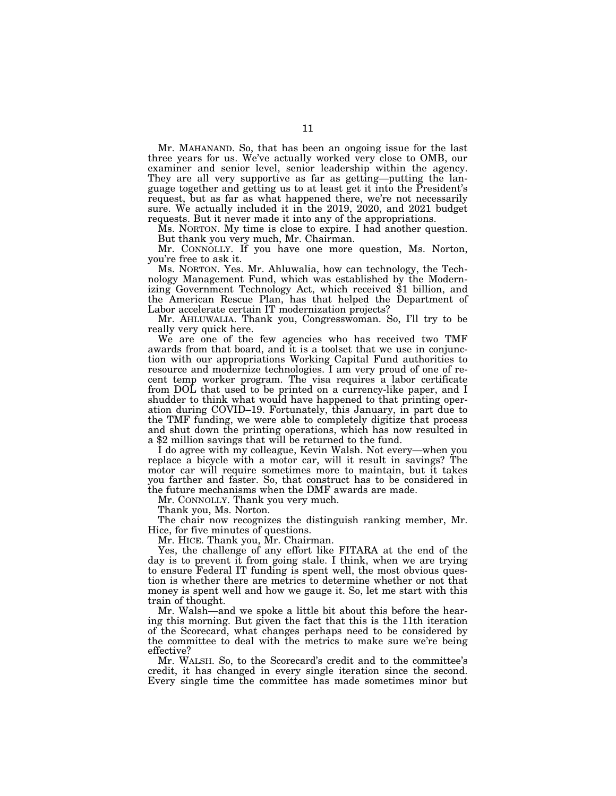Mr. MAHANAND. So, that has been an ongoing issue for the last three years for us. We've actually worked very close to OMB, our examiner and senior level, senior leadership within the agency. They are all very supportive as far as getting—putting the language together and getting us to at least get it into the President's request, but as far as what happened there, we're not necessarily sure. We actually included it in the 2019, 2020, and 2021 budget requests. But it never made it into any of the appropriations.

Ms. NORTON. My time is close to expire. I had another question. But thank you very much, Mr. Chairman.

Mr. CONNOLLY. If you have one more question, Ms. Norton, you're free to ask it.

Ms. NORTON. Yes. Mr. Ahluwalia, how can technology, the Technology Management Fund, which was established by the Modernizing Government Technology Act, which received \$1 billion, and the American Rescue Plan, has that helped the Department of Labor accelerate certain IT modernization projects?

Mr. AHLUWALIA. Thank you, Congresswoman. So, I'll try to be really very quick here.

We are one of the few agencies who has received two TMF awards from that board, and it is a toolset that we use in conjunction with our appropriations Working Capital Fund authorities to resource and modernize technologies. I am very proud of one of recent temp worker program. The visa requires a labor certificate from DOL that used to be printed on a currency-like paper, and I shudder to think what would have happened to that printing operation during COVID–19. Fortunately, this January, in part due to the TMF funding, we were able to completely digitize that process and shut down the printing operations, which has now resulted in a \$2 million savings that will be returned to the fund.

I do agree with my colleague, Kevin Walsh. Not every—when you replace a bicycle with a motor car, will it result in savings? The motor car will require sometimes more to maintain, but it takes you farther and faster. So, that construct has to be considered in the future mechanisms when the DMF awards are made.

Mr. CONNOLLY. Thank you very much.

Thank you, Ms. Norton.

The chair now recognizes the distinguish ranking member, Mr. Hice, for five minutes of questions.

Mr. HICE. Thank you, Mr. Chairman.

Yes, the challenge of any effort like FITARA at the end of the day is to prevent it from going stale. I think, when we are trying to ensure Federal IT funding is spent well, the most obvious question is whether there are metrics to determine whether or not that money is spent well and how we gauge it. So, let me start with this train of thought.

Mr. Walsh—and we spoke a little bit about this before the hearing this morning. But given the fact that this is the 11th iteration of the Scorecard, what changes perhaps need to be considered by the committee to deal with the metrics to make sure we're being effective?

Mr. WALSH. So, to the Scorecard's credit and to the committee's credit, it has changed in every single iteration since the second. Every single time the committee has made sometimes minor but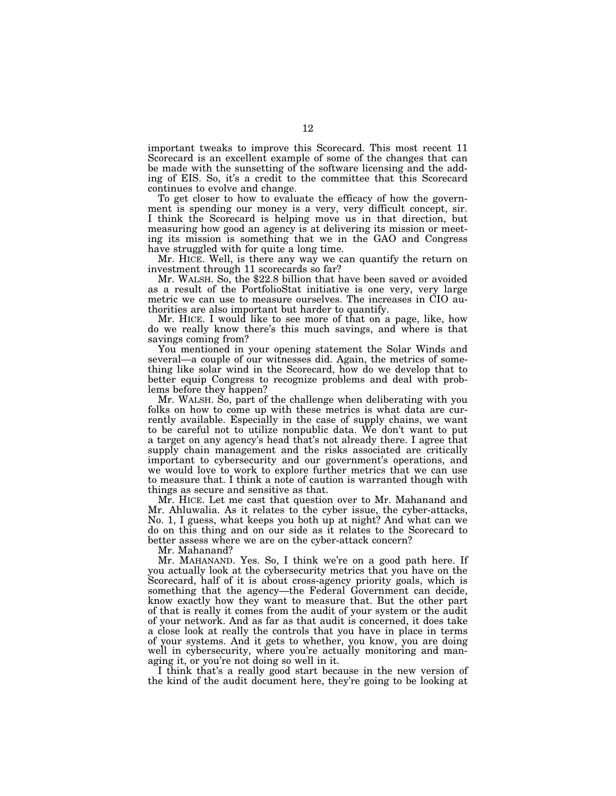important tweaks to improve this Scorecard. This most recent 11 Scorecard is an excellent example of some of the changes that can be made with the sunsetting of the software licensing and the adding of EIS. So, it's a credit to the committee that this Scorecard continues to evolve and change.

To get closer to how to evaluate the efficacy of how the government is spending our money is a very, very difficult concept, sir. I think the Scorecard is helping move us in that direction, but measuring how good an agency is at delivering its mission or meeting its mission is something that we in the GAO and Congress have struggled with for quite a long time.

Mr. HICE. Well, is there any way we can quantify the return on investment through 11 scorecards so far?

Mr. WALSH. So, the \$22.8 billion that have been saved or avoided as a result of the PortfolioStat initiative is one very, very large metric we can use to measure ourselves. The increases in CIO authorities are also important but harder to quantify.

Mr. HICE. I would like to see more of that on a page, like, how do we really know there's this much savings, and where is that savings coming from?

You mentioned in your opening statement the Solar Winds and several—a couple of our witnesses did. Again, the metrics of something like solar wind in the Scorecard, how do we develop that to better equip Congress to recognize problems and deal with problems before they happen?

Mr. WALSH. So, part of the challenge when deliberating with you folks on how to come up with these metrics is what data are currently available. Especially in the case of supply chains, we want to be careful not to utilize nonpublic data. We don't want to put a target on any agency's head that's not already there. I agree that supply chain management and the risks associated are critically important to cybersecurity and our government's operations, and we would love to work to explore further metrics that we can use to measure that. I think a note of caution is warranted though with things as secure and sensitive as that.

Mr. HICE. Let me cast that question over to Mr. Mahanand and Mr. Ahluwalia. As it relates to the cyber issue, the cyber-attacks, No. 1, I guess, what keeps you both up at night? And what can we do on this thing and on our side as it relates to the Scorecard to better assess where we are on the cyber-attack concern?

Mr. Mahanand?

Mr. MAHANAND. Yes. So, I think we're on a good path here. If you actually look at the cybersecurity metrics that you have on the Scorecard, half of it is about cross-agency priority goals, which is something that the agency—the Federal Government can decide, know exactly how they want to measure that. But the other part of that is really it comes from the audit of your system or the audit of your network. And as far as that audit is concerned, it does take a close look at really the controls that you have in place in terms of your systems. And it gets to whether, you know, you are doing well in cybersecurity, where you're actually monitoring and managing it, or you're not doing so well in it.

I think that's a really good start because in the new version of the kind of the audit document here, they're going to be looking at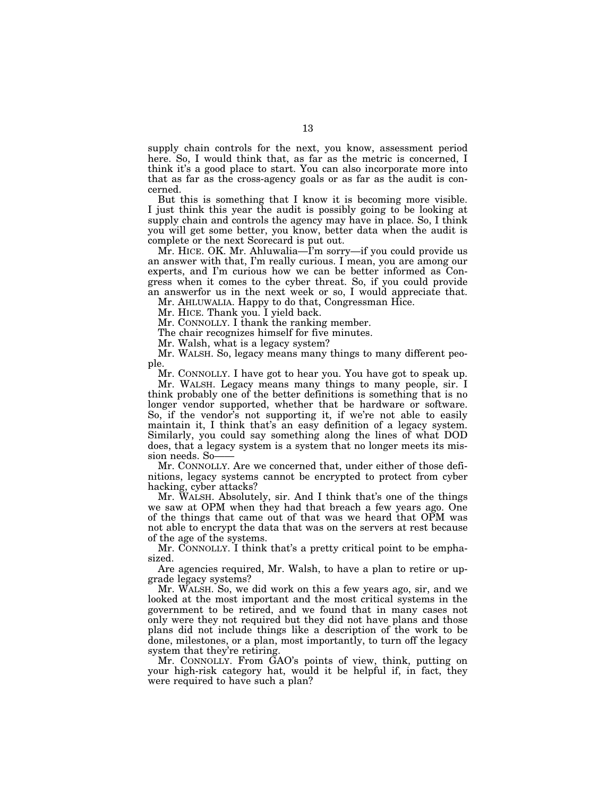supply chain controls for the next, you know, assessment period here. So, I would think that, as far as the metric is concerned, I think it's a good place to start. You can also incorporate more into that as far as the cross-agency goals or as far as the audit is concerned.

But this is something that I know it is becoming more visible. I just think this year the audit is possibly going to be looking at supply chain and controls the agency may have in place. So, I think you will get some better, you know, better data when the audit is complete or the next Scorecard is put out.

Mr. HICE. OK. Mr. Ahluwalia—I'm sorry—if you could provide us an answer with that, I'm really curious. I mean, you are among our experts, and I'm curious how we can be better informed as Congress when it comes to the cyber threat. So, if you could provide an answerfor us in the next week or so, I would appreciate that.

Mr. AHLUWALIA. Happy to do that, Congressman Hice.

Mr. HICE. Thank you. I yield back.

Mr. CONNOLLY. I thank the ranking member.

The chair recognizes himself for five minutes.

Mr. Walsh, what is a legacy system?

Mr. WALSH. So, legacy means many things to many different people.

Mr. CONNOLLY. I have got to hear you. You have got to speak up.

Mr. WALSH. Legacy means many things to many people, sir. I think probably one of the better definitions is something that is no longer vendor supported, whether that be hardware or software. So, if the vendor's not supporting it, if we're not able to easily maintain it, I think that's an easy definition of a legacy system. Similarly, you could say something along the lines of what DOD does, that a legacy system is a system that no longer meets its mission needs. So-

Mr. CONNOLLY. Are we concerned that, under either of those definitions, legacy systems cannot be encrypted to protect from cyber hacking, cyber attacks?

Mr. WALSH. Absolutely, sir. And I think that's one of the things we saw at OPM when they had that breach a few years ago. One of the things that came out of that was we heard that OPM was not able to encrypt the data that was on the servers at rest because of the age of the systems.

Mr. CONNOLLY. I think that's a pretty critical point to be emphasized.

Are agencies required, Mr. Walsh, to have a plan to retire or upgrade legacy systems?

Mr. WALSH. So, we did work on this a few years ago, sir, and we looked at the most important and the most critical systems in the government to be retired, and we found that in many cases not only were they not required but they did not have plans and those plans did not include things like a description of the work to be done, milestones, or a plan, most importantly, to turn off the legacy system that they're retiring.

Mr. CONNOLLY. From GAO's points of view, think, putting on your high-risk category hat, would it be helpful if, in fact, they were required to have such a plan?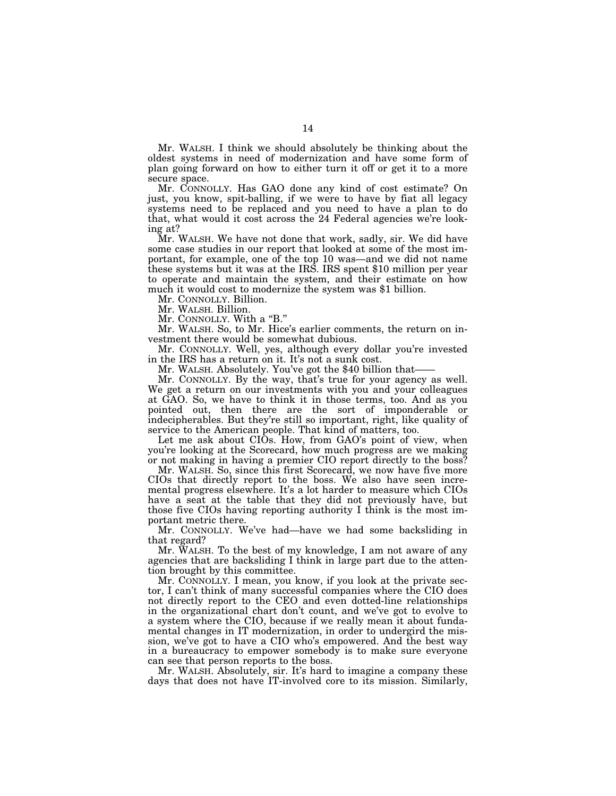Mr. WALSH. I think we should absolutely be thinking about the oldest systems in need of modernization and have some form of plan going forward on how to either turn it off or get it to a more secure space.

Mr. CONNOLLY. Has GAO done any kind of cost estimate? On just, you know, spit-balling, if we were to have by fiat all legacy systems need to be replaced and you need to have a plan to do that, what would it cost across the 24 Federal agencies we're looking at?

Mr. WALSH. We have not done that work, sadly, sir. We did have some case studies in our report that looked at some of the most important, for example, one of the top 10 was—and we did not name these systems but it was at the IRS. IRS spent \$10 million per year to operate and maintain the system, and their estimate on how much it would cost to modernize the system was \$1 billion.

Mr. CONNOLLY. Billion.

Mr. WALSH. Billion.

Mr. CONNOLLY. With a "B."

Mr. WALSH. So, to Mr. Hice's earlier comments, the return on investment there would be somewhat dubious.

Mr. CONNOLLY. Well, yes, although every dollar you're invested in the IRS has a return on it. It's not a sunk cost.

Mr. WALSH. Absolutely. You've got the \$40 billion that-

Mr. CONNOLLY. By the way, that's true for your agency as well. We get a return on our investments with you and your colleagues at GAO. So, we have to think it in those terms, too. And as you pointed out, then there are the sort of imponderable or indecipherables. But they're still so important, right, like quality of service to the American people. That kind of matters, too.

Let me ask about CIOs. How, from GAO's point of view, when you're looking at the Scorecard, how much progress are we making or not making in having a premier CIO report directly to the boss?

Mr. WALSH. So, since this first Scorecard, we now have five more CIOs that directly report to the boss. We also have seen incremental progress elsewhere. It's a lot harder to measure which CIOs have a seat at the table that they did not previously have, but those five CIOs having reporting authority I think is the most important metric there.

Mr. CONNOLLY. We've had—have we had some backsliding in that regard?

Mr. WALSH. To the best of my knowledge, I am not aware of any agencies that are backsliding I think in large part due to the attention brought by this committee.

Mr. CONNOLLY. I mean, you know, if you look at the private sector, I can't think of many successful companies where the CIO does not directly report to the CEO and even dotted-line relationships in the organizational chart don't count, and we've got to evolve to a system where the CIO, because if we really mean it about fundamental changes in IT modernization, in order to undergird the mission, we've got to have a CIO who's empowered. And the best way in a bureaucracy to empower somebody is to make sure everyone can see that person reports to the boss.

Mr. WALSH. Absolutely, sir. It's hard to imagine a company these days that does not have IT-involved core to its mission. Similarly,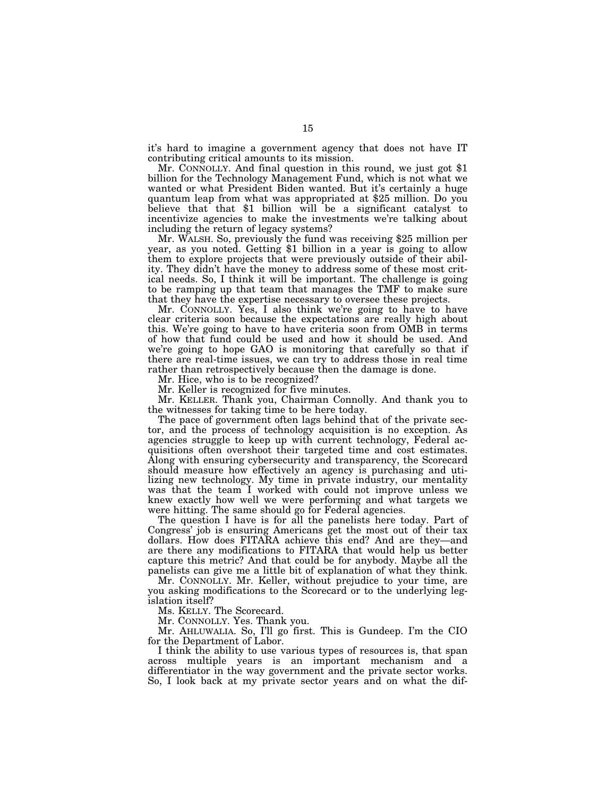it's hard to imagine a government agency that does not have IT contributing critical amounts to its mission.

Mr. CONNOLLY. And final question in this round, we just got \$1 billion for the Technology Management Fund, which is not what we wanted or what President Biden wanted. But it's certainly a huge quantum leap from what was appropriated at \$25 million. Do you believe that that \$1 billion will be a significant catalyst to incentivize agencies to make the investments we're talking about including the return of legacy systems?<br>Mr. WALSH. So, previously the fund was receiving \$25 million per

year, as you noted. Getting \$1 billion in a year is going to allow them to explore projects that were previously outside of their ability. They didn't have the money to address some of these most critical needs. So, I think it will be important. The challenge is going to be ramping up that team that manages the TMF to make sure that they have the expertise necessary to oversee these projects.

Mr. CONNOLLY. Yes, I also think we're going to have to have clear criteria soon because the expectations are really high about this. We're going to have to have criteria soon from OMB in terms of how that fund could be used and how it should be used. And we're going to hope GAO is monitoring that carefully so that if there are real-time issues, we can try to address those in real time rather than retrospectively because then the damage is done.

Mr. Hice, who is to be recognized?

Mr. Keller is recognized for five minutes.

Mr. KELLER. Thank you, Chairman Connolly. And thank you to the witnesses for taking time to be here today.

The pace of government often lags behind that of the private sector, and the process of technology acquisition is no exception. As agencies struggle to keep up with current technology, Federal acquisitions often overshoot their targeted time and cost estimates. Along with ensuring cybersecurity and transparency, the Scorecard should measure how effectively an agency is purchasing and utilizing new technology. My time in private industry, our mentality was that the team I worked with could not improve unless we knew exactly how well we were performing and what targets we were hitting. The same should go for Federal agencies.

The question I have is for all the panelists here today. Part of Congress' job is ensuring Americans get the most out of their tax dollars. How does FITARA achieve this end? And are they—and are there any modifications to FITARA that would help us better capture this metric? And that could be for anybody. Maybe all the panelists can give me a little bit of explanation of what they think.

Mr. CONNOLLY. Mr. Keller, without prejudice to your time, are you asking modifications to the Scorecard or to the underlying legislation itself?

Ms. KELLY. The Scorecard.

Mr. CONNOLLY. Yes. Thank you.

Mr. AHLUWALIA. So, I'll go first. This is Gundeep. I'm the CIO for the Department of Labor.

I think the ability to use various types of resources is, that span across multiple years is an important mechanism and a differentiator in the way government and the private sector works. So, I look back at my private sector years and on what the dif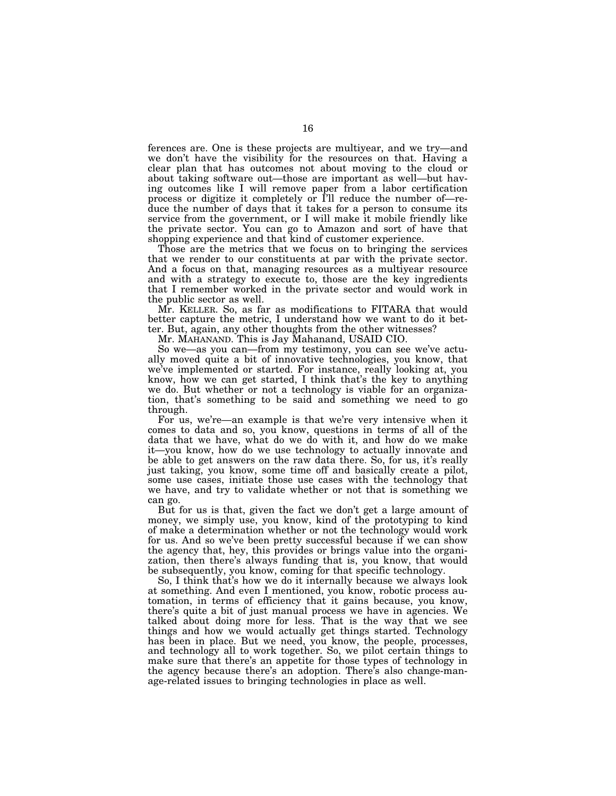ferences are. One is these projects are multiyear, and we try—and we don't have the visibility for the resources on that. Having a clear plan that has outcomes not about moving to the cloud or about taking software out—those are important as well—but having outcomes like I will remove paper from a labor certification process or digitize it completely or I'll reduce the number of—reduce the number of days that it takes for a person to consume its service from the government, or I will make it mobile friendly like the private sector. You can go to Amazon and sort of have that shopping experience and that kind of customer experience.

Those are the metrics that we focus on to bringing the services that we render to our constituents at par with the private sector. And a focus on that, managing resources as a multiyear resource and with a strategy to execute to, those are the key ingredients that I remember worked in the private sector and would work in the public sector as well.

Mr. KELLER. So, as far as modifications to FITARA that would better capture the metric, I understand how we want to do it better. But, again, any other thoughts from the other witnesses?

Mr. MAHANAND. This is Jay Mahanand, USAID CIO.

So we—as you can—from my testimony, you can see we've actually moved quite a bit of innovative technologies, you know, that we've implemented or started. For instance, really looking at, you know, how we can get started, I think that's the key to anything we do. But whether or not a technology is viable for an organization, that's something to be said and something we need to go through.

For us, we're—an example is that we're very intensive when it comes to data and so, you know, questions in terms of all of the data that we have, what do we do with it, and how do we make it—you know, how do we use technology to actually innovate and be able to get answers on the raw data there. So, for us, it's really just taking, you know, some time off and basically create a pilot, some use cases, initiate those use cases with the technology that we have, and try to validate whether or not that is something we can go.

But for us is that, given the fact we don't get a large amount of money, we simply use, you know, kind of the prototyping to kind of make a determination whether or not the technology would work for us. And so we've been pretty successful because if we can show the agency that, hey, this provides or brings value into the organization, then there's always funding that is, you know, that would be subsequently, you know, coming for that specific technology.

So, I think that's how we do it internally because we always look at something. And even I mentioned, you know, robotic process automation, in terms of efficiency that it gains because, you know, there's quite a bit of just manual process we have in agencies. We talked about doing more for less. That is the way that we see things and how we would actually get things started. Technology has been in place. But we need, you know, the people, processes, and technology all to work together. So, we pilot certain things to make sure that there's an appetite for those types of technology in the agency because there's an adoption. There's also change-manage-related issues to bringing technologies in place as well.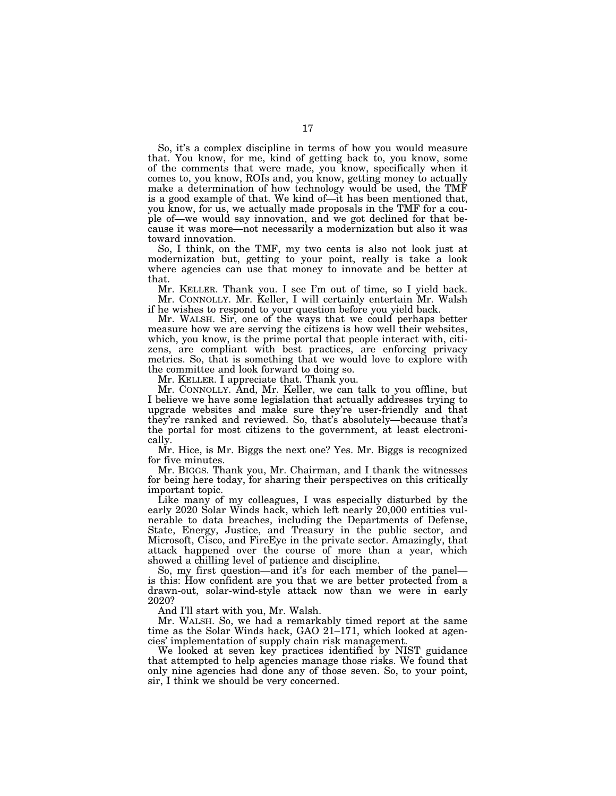So, it's a complex discipline in terms of how you would measure that. You know, for me, kind of getting back to, you know, some of the comments that were made, you know, specifically when it comes to, you know, ROIs and, you know, getting money to actually make a determination of how technology would be used, the TMF is a good example of that. We kind of—it has been mentioned that, you know, for us, we actually made proposals in the TMF for a couple of—we would say innovation, and we got declined for that because it was more—not necessarily a modernization but also it was toward innovation.

So, I think, on the TMF, my two cents is also not look just at modernization but, getting to your point, really is take a look where agencies can use that money to innovate and be better at that.

Mr. KELLER. Thank you. I see I'm out of time, so I yield back. Mr. CONNOLLY. Mr. Keller, I will certainly entertain Mr. Walsh if he wishes to respond to your question before you yield back.

Mr. WALSH. Sir, one of the ways that we could perhaps better measure how we are serving the citizens is how well their websites, which, you know, is the prime portal that people interact with, citizens, are compliant with best practices, are enforcing privacy metrics. So, that is something that we would love to explore with the committee and look forward to doing so.

Mr. KELLER. I appreciate that. Thank you.

Mr. CONNOLLY. And, Mr. Keller, we can talk to you offline, but I believe we have some legislation that actually addresses trying to upgrade websites and make sure they're user-friendly and that they're ranked and reviewed. So, that's absolutely—because that's the portal for most citizens to the government, at least electronically.

Mr. Hice, is Mr. Biggs the next one? Yes. Mr. Biggs is recognized for five minutes.

Mr. BIGGS. Thank you, Mr. Chairman, and I thank the witnesses for being here today, for sharing their perspectives on this critically important topic.

Like many of my colleagues, I was especially disturbed by the early 2020 Solar Winds hack, which left nearly 20,000 entities vulnerable to data breaches, including the Departments of Defense, State, Energy, Justice, and Treasury in the public sector, and Microsoft, Cisco, and FireEye in the private sector. Amazingly, that attack happened over the course of more than a year, which showed a chilling level of patience and discipline.

So, my first question—and it's for each member of the panel is this: How confident are you that we are better protected from a drawn-out, solar-wind-style attack now than we were in early 2020?

And I'll start with you, Mr. Walsh.

Mr. WALSH. So, we had a remarkably timed report at the same time as the Solar Winds hack, GAO 21–171, which looked at agencies' implementation of supply chain risk management.

We looked at seven key practices identified by NIST guidance that attempted to help agencies manage those risks. We found that only nine agencies had done any of those seven. So, to your point, sir, I think we should be very concerned.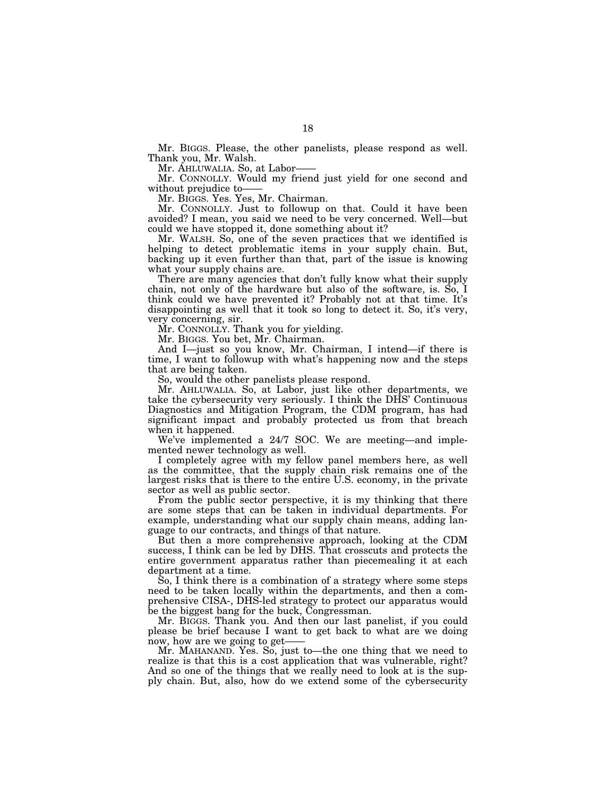Mr. BIGGS. Please, the other panelists, please respond as well. Thank you, Mr. Walsh.

Mr. AHLUWALIA. So, at Labor——

Mr. CONNOLLY. Would my friend just yield for one second and without prejudice to-

Mr. BIGGS. Yes. Yes, Mr. Chairman.

Mr. CONNOLLY. Just to followup on that. Could it have been avoided? I mean, you said we need to be very concerned. Well—but could we have stopped it, done something about it?

Mr. WALSH. So, one of the seven practices that we identified is helping to detect problematic items in your supply chain. But, backing up it even further than that, part of the issue is knowing what your supply chains are.

There are many agencies that don't fully know what their supply chain, not only of the hardware but also of the software, is. So, I think could we have prevented it? Probably not at that time. It's disappointing as well that it took so long to detect it. So, it's very, very concerning, sir.

Mr. CONNOLLY. Thank you for yielding.

Mr. BIGGS. You bet, Mr. Chairman.

And I—just so you know, Mr. Chairman, I intend—if there is time, I want to followup with what's happening now and the steps that are being taken.

So, would the other panelists please respond.

Mr. AHLUWALIA. So, at Labor, just like other departments, we take the cybersecurity very seriously. I think the DHS' Continuous Diagnostics and Mitigation Program, the CDM program, has had significant impact and probably protected us from that breach when it happened.

We've implemented a 24/7 SOC. We are meeting—and implemented newer technology as well.

I completely agree with my fellow panel members here, as well as the committee, that the supply chain risk remains one of the largest risks that is there to the entire U.S. economy, in the private sector as well as public sector.

From the public sector perspective, it is my thinking that there are some steps that can be taken in individual departments. For example, understanding what our supply chain means, adding language to our contracts, and things of that nature.

But then a more comprehensive approach, looking at the CDM success, I think can be led by DHS. That crosscuts and protects the entire government apparatus rather than piecemealing it at each department at a time.

So, I think there is a combination of a strategy where some steps need to be taken locally within the departments, and then a comprehensive CISA-, DHS-led strategy to protect our apparatus would be the biggest bang for the buck, Congressman.

Mr. BIGGS. Thank you. And then our last panelist, if you could please be brief because I want to get back to what are we doing now, how are we going to get-

Mr. MAHANAND. Yes. So, just to—the one thing that we need to realize is that this is a cost application that was vulnerable, right? And so one of the things that we really need to look at is the supply chain. But, also, how do we extend some of the cybersecurity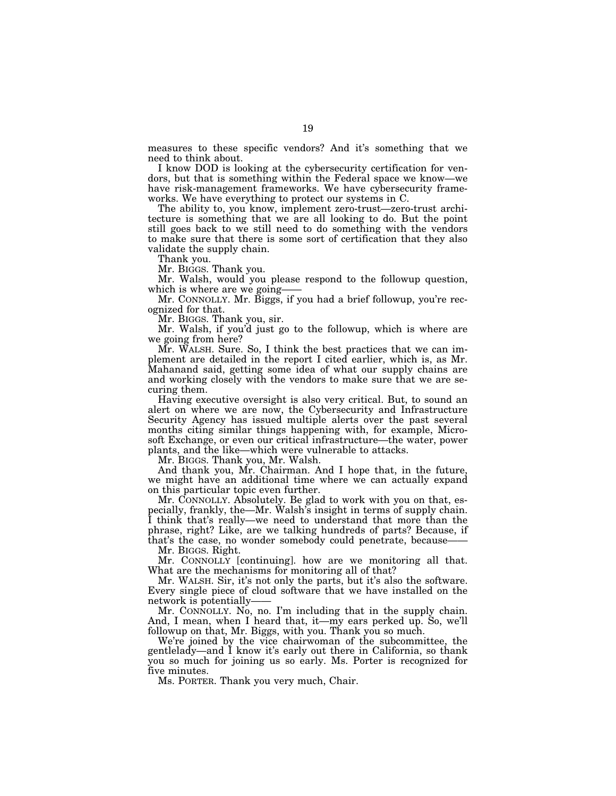measures to these specific vendors? And it's something that we need to think about.

I know DOD is looking at the cybersecurity certification for vendors, but that is something within the Federal space we know—we have risk-management frameworks. We have cybersecurity frameworks. We have everything to protect our systems in C.

The ability to, you know, implement zero-trust—zero-trust architecture is something that we are all looking to do. But the point still goes back to we still need to do something with the vendors to make sure that there is some sort of certification that they also validate the supply chain.

Thank you.

Mr. BIGGS. Thank you.

Mr. Walsh, would you please respond to the followup question, which is where are we going-

Mr. CONNOLLY. Mr. Biggs, if you had a brief followup, you're recognized for that.

Mr. BIGGS. Thank you, sir.

Mr. Walsh, if you'd just go to the followup, which is where are we going from here?

Mr. WALSH. Sure. So, I think the best practices that we can implement are detailed in the report I cited earlier, which is, as Mr. Mahanand said, getting some idea of what our supply chains are and working closely with the vendors to make sure that we are securing them.

Having executive oversight is also very critical. But, to sound an alert on where we are now, the Cybersecurity and Infrastructure Security Agency has issued multiple alerts over the past several months citing similar things happening with, for example, Microsoft Exchange, or even our critical infrastructure—the water, power plants, and the like—which were vulnerable to attacks.

Mr. BIGGS. Thank you, Mr. Walsh.

And thank you, Mr. Chairman. And I hope that, in the future, we might have an additional time where we can actually expand on this particular topic even further.

Mr. CONNOLLY. Absolutely. Be glad to work with you on that, especially, frankly, the—Mr. Walsh's insight in terms of supply chain. I think that's really—we need to understand that more than the phrase, right? Like, are we talking hundreds of parts? Because, if that's the case, no wonder somebody could penetrate, because-

Mr. BIGGS. Right.

Mr. CONNOLLY [continuing]. how are we monitoring all that. What are the mechanisms for monitoring all of that?

Mr. WALSH. Sir, it's not only the parts, but it's also the software. Every single piece of cloud software that we have installed on the network is potentially——

Mr. CONNOLLY. No, no. I'm including that in the supply chain. And, I mean, when I heard that, it—my ears perked up. So, we'll followup on that, Mr. Biggs, with you. Thank you so much.

We're joined by the vice chairwoman of the subcommittee, the gentlelady—and I know it's early out there in California, so thank you so much for joining us so early. Ms. Porter is recognized for five minutes.

Ms. PORTER. Thank you very much, Chair.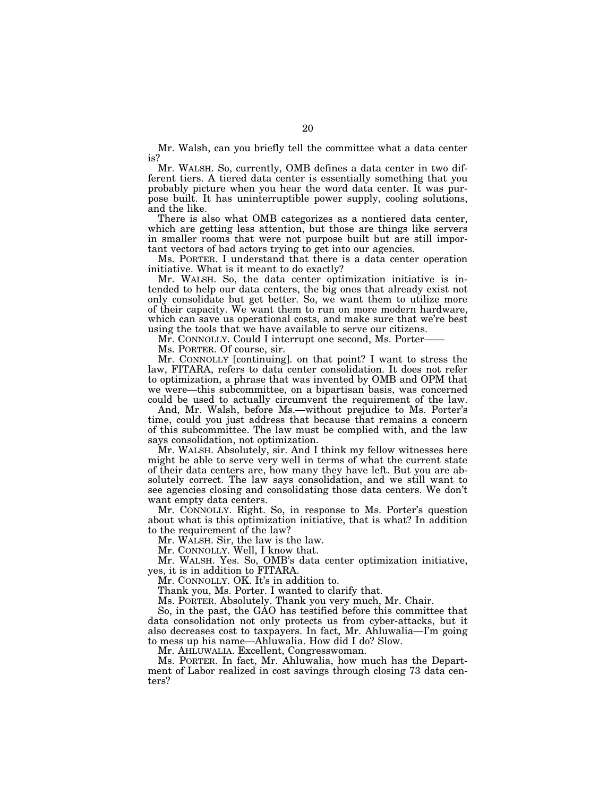Mr. Walsh, can you briefly tell the committee what a data center is?

Mr. WALSH. So, currently, OMB defines a data center in two different tiers. A tiered data center is essentially something that you probably picture when you hear the word data center. It was purpose built. It has uninterruptible power supply, cooling solutions, and the like.

There is also what OMB categorizes as a nontiered data center, which are getting less attention, but those are things like servers in smaller rooms that were not purpose built but are still important vectors of bad actors trying to get into our agencies.

Ms. PORTER. I understand that there is a data center operation initiative. What is it meant to do exactly?

Mr. WALSH. So, the data center optimization initiative is intended to help our data centers, the big ones that already exist not only consolidate but get better. So, we want them to utilize more of their capacity. We want them to run on more modern hardware, which can save us operational costs, and make sure that we're best using the tools that we have available to serve our citizens.

Mr. CONNOLLY. Could I interrupt one second, Ms. Porter-

Ms. PORTER. Of course, sir.

Mr. CONNOLLY [continuing]. on that point? I want to stress the law, FITARA, refers to data center consolidation. It does not refer to optimization, a phrase that was invented by OMB and OPM that we were—this subcommittee, on a bipartisan basis, was concerned could be used to actually circumvent the requirement of the law.

And, Mr. Walsh, before Ms.—without prejudice to Ms. Porter's time, could you just address that because that remains a concern of this subcommittee. The law must be complied with, and the law says consolidation, not optimization.

Mr. WALSH. Absolutely, sir. And I think my fellow witnesses here might be able to serve very well in terms of what the current state of their data centers are, how many they have left. But you are absolutely correct. The law says consolidation, and we still want to see agencies closing and consolidating those data centers. We don't want empty data centers.

Mr. CONNOLLY. Right. So, in response to Ms. Porter's question about what is this optimization initiative, that is what? In addition to the requirement of the law?

Mr. WALSH. Sir, the law is the law.

Mr. CONNOLLY. Well, I know that.

Mr. WALSH. Yes. So, OMB's data center optimization initiative, yes, it is in addition to FITARA.

Mr. CONNOLLY. OK. It's in addition to.

Thank you, Ms. Porter. I wanted to clarify that.

Ms. PORTER. Absolutely. Thank you very much, Mr. Chair.

So, in the past, the GAO has testified before this committee that data consolidation not only protects us from cyber-attacks, but it also decreases cost to taxpayers. In fact, Mr. Ahluwalia—I'm going to mess up his name—Ahluwalia. How did I do? Slow.

Mr. AHLUWALIA. Excellent, Congresswoman.

Ms. PORTER. In fact, Mr. Ahluwalia, how much has the Department of Labor realized in cost savings through closing 73 data centers?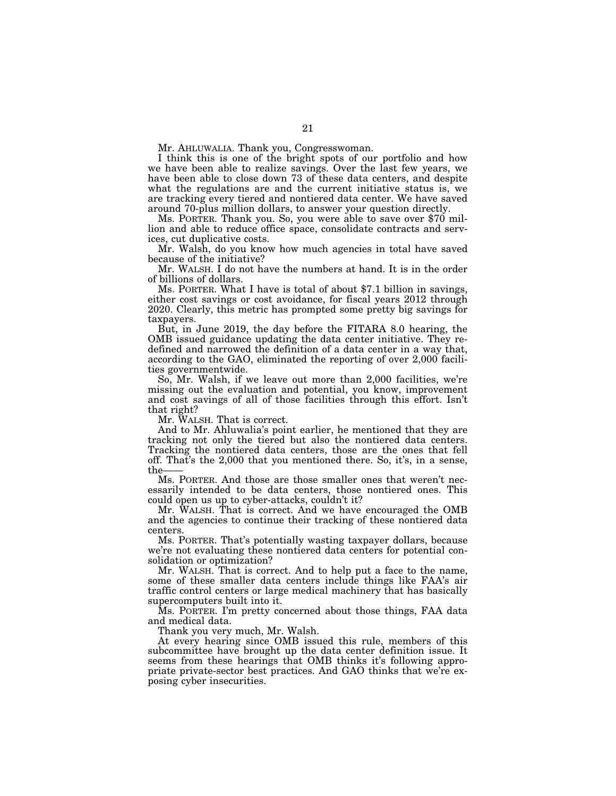Mr. AHLUWALIA. Thank you, Congresswoman.

I think this is one of the bright spots of our portfolio and how we have been able to realize savings. Over the last few years, we have been able to close down 73 of these data centers, and despite what the regulations are and the current initiative status is, we are tracking every tiered and nontiered data center. We have saved around 70-plus million dollars, to answer your question directly.

Ms. PORTER. Thank you. So, you were able to save over \$70 million and able to reduce office space, consolidate contracts and services, cut duplicative costs.

Mr. Walsh, do you know how much agencies in total have saved because of the initiative?

Mr. WALSH. I do not have the numbers at hand. It is in the order of billions of dollars.

Ms. PORTER. What I have is total of about \$7.1 billion in savings, either cost savings or cost avoidance, for fiscal years 2012 through 2020. Clearly, this metric has prompted some pretty big savings for taxpayers.

But, in June 2019, the day before the FITARA 8.0 hearing, the OMB issued guidance updating the data center initiative. They redefined and narrowed the definition of a data center in a way that, according to the GAO, eliminated the reporting of over 2,000 facilities governmentwide.

So, Mr. Walsh, if we leave out more than 2,000 facilities, we're missing out the evaluation and potential, you know, improvement and cost savings of all of those facilities through this effort. Isn't that right?

Mr. WALSH. That is correct.

And to Mr. Ahluwalia's point earlier, he mentioned that they are tracking not only the tiered but also the nontiered data centers. Tracking the nontiered data centers, those are the ones that fell off. That's the 2,000 that you mentioned there. So, it's, in a sense, the-

Ms. PORTER. And those are those smaller ones that weren't necessarily intended to be data centers, those nontiered ones. This could open us up to cyber-attacks, couldn't it?

Mr. WALSH. That is correct. And we have encouraged the OMB and the agencies to continue their tracking of these nontiered data centers.

Ms. PORTER. That's potentially wasting taxpayer dollars, because we're not evaluating these nontiered data centers for potential consolidation or optimization?

Mr. WALSH. That is correct. And to help put a face to the name, some of these smaller data centers include things like FAA's air traffic control centers or large medical machinery that has basically supercomputers built into it.

Ms. PORTER. I'm pretty concerned about those things, FAA data and medical data.

Thank you very much, Mr. Walsh.

At every hearing since OMB issued this rule, members of this subcommittee have brought up the data center definition issue. It seems from these hearings that OMB thinks it's following appropriate private-sector best practices. And GAO thinks that we're exposing cyber insecurities.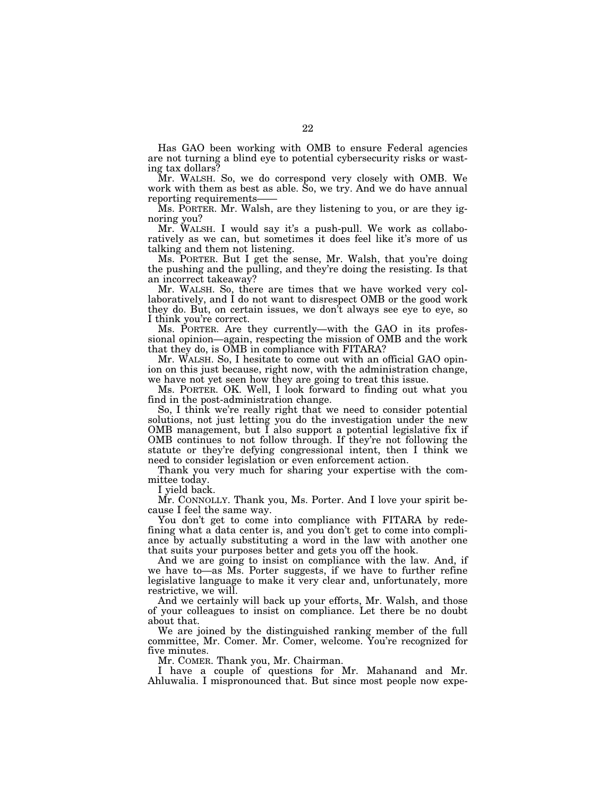Has GAO been working with OMB to ensure Federal agencies are not turning a blind eye to potential cybersecurity risks or wasting tax dollars?

Mr. WALSH. So, we do correspond very closely with OMB. We work with them as best as able. So, we try. And we do have annual reporting requirements-

Ms. PORTER. Mr. Walsh, are they listening to you, or are they ignoring you?

Mr. WALSH. I would say it's a push-pull. We work as collaboratively as we can, but sometimes it does feel like it's more of us talking and them not listening.

Ms. PORTER. But I get the sense, Mr. Walsh, that you're doing the pushing and the pulling, and they're doing the resisting. Is that an incorrect takeaway?

Mr. WALSH. So, there are times that we have worked very collaboratively, and I do not want to disrespect OMB or the good work they do. But, on certain issues, we don't always see eye to eye, so I think you're correct.

Ms. PORTER. Are they currently—with the GAO in its professional opinion—again, respecting the mission of OMB and the work that they do, is OMB in compliance with FITARA?

Mr. WALSH. So, I hesitate to come out with an official GAO opinion on this just because, right now, with the administration change, we have not yet seen how they are going to treat this issue.

Ms. PORTER. OK. Well, I look forward to finding out what you find in the post-administration change.

So, I think we're really right that we need to consider potential solutions, not just letting you do the investigation under the new OMB management, but I also support a potential legislative fix if OMB continues to not follow through. If they're not following the statute or they're defying congressional intent, then I think we need to consider legislation or even enforcement action.

Thank you very much for sharing your expertise with the committee today.

I yield back.

Mr. CONNOLLY. Thank you, Ms. Porter. And I love your spirit because I feel the same way.

You don't get to come into compliance with FITARA by redefining what a data center is, and you don't get to come into compliance by actually substituting a word in the law with another one that suits your purposes better and gets you off the hook.

And we are going to insist on compliance with the law. And, if we have to—as Ms. Porter suggests, if we have to further refine legislative language to make it very clear and, unfortunately, more restrictive, we will.

And we certainly will back up your efforts, Mr. Walsh, and those of your colleagues to insist on compliance. Let there be no doubt about that.

We are joined by the distinguished ranking member of the full committee, Mr. Comer. Mr. Comer, welcome. You're recognized for five minutes.

Mr. COMER. Thank you, Mr. Chairman.

I have a couple of questions for Mr. Mahanand and Mr. Ahluwalia. I mispronounced that. But since most people now expe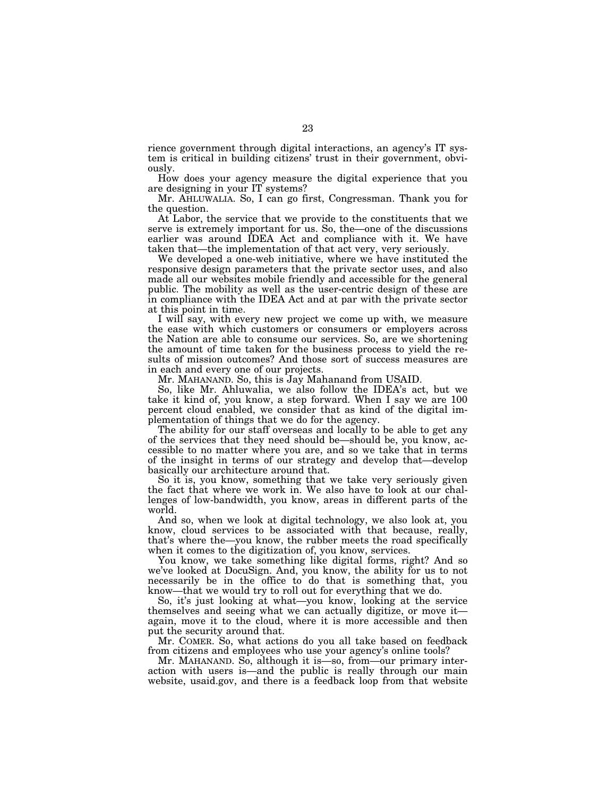rience government through digital interactions, an agency's IT system is critical in building citizens' trust in their government, obviously.

How does your agency measure the digital experience that you are designing in your IT systems?

Mr. AHLUWALIA. So, I can go first, Congressman. Thank you for the question.

At Labor, the service that we provide to the constituents that we serve is extremely important for us. So, the—one of the discussions earlier was around IDEA Act and compliance with it. We have taken that—the implementation of that act very, very seriously.

We developed a one-web initiative, where we have instituted the responsive design parameters that the private sector uses, and also made all our websites mobile friendly and accessible for the general public. The mobility as well as the user-centric design of these are in compliance with the IDEA Act and at par with the private sector at this point in time.

I will say, with every new project we come up with, we measure the ease with which customers or consumers or employers across the Nation are able to consume our services. So, are we shortening the amount of time taken for the business process to yield the results of mission outcomes? And those sort of success measures are in each and every one of our projects.

Mr. MAHANAND. So, this is Jay Mahanand from USAID.

So, like Mr. Ahluwalia, we also follow the IDEA's act, but we take it kind of, you know, a step forward. When I say we are 100 percent cloud enabled, we consider that as kind of the digital implementation of things that we do for the agency.

The ability for our staff overseas and locally to be able to get any of the services that they need should be—should be, you know, accessible to no matter where you are, and so we take that in terms of the insight in terms of our strategy and develop that—develop basically our architecture around that.

So it is, you know, something that we take very seriously given the fact that where we work in. We also have to look at our challenges of low-bandwidth, you know, areas in different parts of the world.

And so, when we look at digital technology, we also look at, you know, cloud services to be associated with that because, really, that's where the—you know, the rubber meets the road specifically when it comes to the digitization of, you know, services.

You know, we take something like digital forms, right? And so we've looked at DocuSign. And, you know, the ability for us to not necessarily be in the office to do that is something that, you know—that we would try to roll out for everything that we do.

So, it's just looking at what—you know, looking at the service themselves and seeing what we can actually digitize, or move it again, move it to the cloud, where it is more accessible and then put the security around that.

Mr. COMER. So, what actions do you all take based on feedback from citizens and employees who use your agency's online tools?

Mr. MAHANAND. So, although it is—so, from—our primary interaction with users is—and the public is really through our main website, usaid.gov, and there is a feedback loop from that website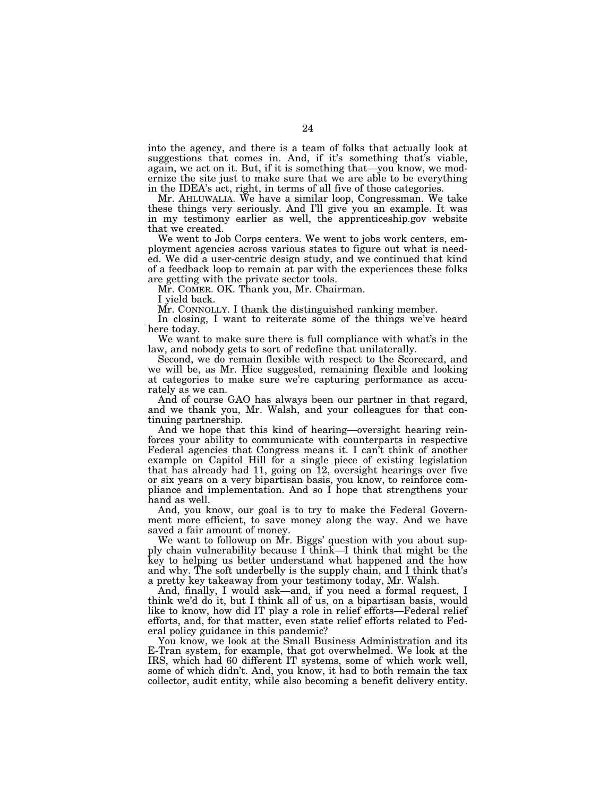into the agency, and there is a team of folks that actually look at suggestions that comes in. And, if it's something that's viable, again, we act on it. But, if it is something that—you know, we modernize the site just to make sure that we are able to be everything in the IDEA's act, right, in terms of all five of those categories.

Mr. AHLUWALIA. We have a similar loop, Congressman. We take these things very seriously. And I'll give you an example. It was in my testimony earlier as well, the apprenticeship.gov website that we created.

We went to Job Corps centers. We went to jobs work centers, employment agencies across various states to figure out what is needed. We did a user-centric design study, and we continued that kind of a feedback loop to remain at par with the experiences these folks are getting with the private sector tools.

Mr. COMER. OK. Thank you, Mr. Chairman.

I yield back.

Mr. CONNOLLY. I thank the distinguished ranking member.

In closing, I want to reiterate some of the things we've heard here today.

We want to make sure there is full compliance with what's in the law, and nobody gets to sort of redefine that unilaterally.

Second, we do remain flexible with respect to the Scorecard, and we will be, as Mr. Hice suggested, remaining flexible and looking at categories to make sure we're capturing performance as accurately as we can.

And of course GAO has always been our partner in that regard, and we thank you, Mr. Walsh, and your colleagues for that continuing partnership.

And we hope that this kind of hearing—oversight hearing reinforces your ability to communicate with counterparts in respective Federal agencies that Congress means it. I can't think of another example on Capitol Hill for a single piece of existing legislation that has already had 11, going on 12, oversight hearings over five or six years on a very bipartisan basis, you know, to reinforce compliance and implementation. And so I hope that strengthens your hand as well.

And, you know, our goal is to try to make the Federal Government more efficient, to save money along the way. And we have saved a fair amount of money.

We want to followup on Mr. Biggs' question with you about supply chain vulnerability because I think—I think that might be the key to helping us better understand what happened and the how and why. The soft underbelly is the supply chain, and I think that's a pretty key takeaway from your testimony today, Mr. Walsh.

And, finally, I would ask—and, if you need a formal request, I think we'd do it, but I think all of us, on a bipartisan basis, would like to know, how did IT play a role in relief efforts—Federal relief efforts, and, for that matter, even state relief efforts related to Federal policy guidance in this pandemic?

You know, we look at the Small Business Administration and its E-Tran system, for example, that got overwhelmed. We look at the IRS, which had 60 different IT systems, some of which work well, some of which didn't. And, you know, it had to both remain the tax collector, audit entity, while also becoming a benefit delivery entity.